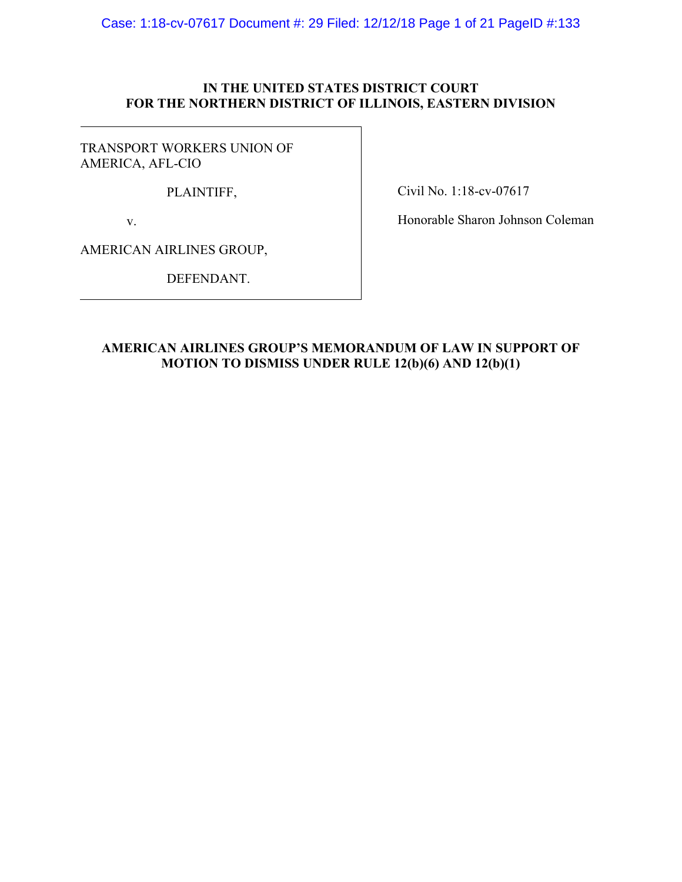Case: 1:18-cv-07617 Document #: 29 Filed: 12/12/18 Page 1 of 21 PageID #:133

## **IN THE UNITED STATES DISTRICT COURT FOR THE NORTHERN DISTRICT OF ILLINOIS, EASTERN DIVISION**

TRANSPORT WORKERS UNION OF AMERICA, AFL-CIO

PLAINTIFF,

Civil No. 1:18-cv-07617

v.

Honorable Sharon Johnson Coleman

AMERICAN AIRLINES GROUP,

DEFENDANT.

## **AMERICAN AIRLINES GROUP'S MEMORANDUM OF LAW IN SUPPORT OF MOTION TO DISMISS UNDER RULE 12(b)(6) AND 12(b)(1)**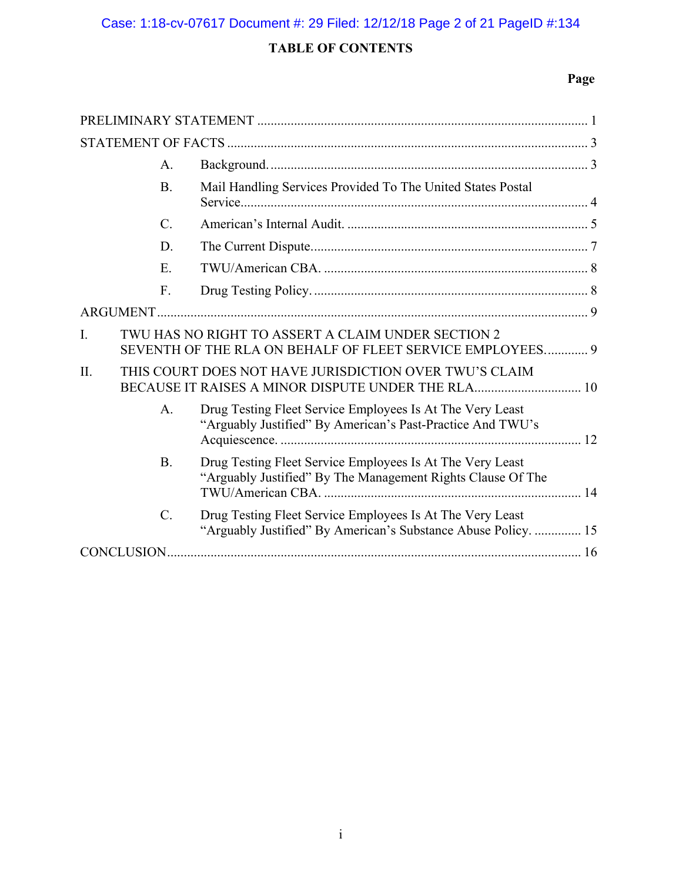# **TABLE OF CONTENTS**

# **Page**

|     | A.               |                                                                                                                             |  |  |
|-----|------------------|-----------------------------------------------------------------------------------------------------------------------------|--|--|
|     | <b>B.</b>        | Mail Handling Services Provided To The United States Postal                                                                 |  |  |
|     | $\mathcal{C}$ .  |                                                                                                                             |  |  |
|     | D.               |                                                                                                                             |  |  |
|     | E.               |                                                                                                                             |  |  |
|     | F.               |                                                                                                                             |  |  |
|     |                  |                                                                                                                             |  |  |
| I.  |                  | TWU HAS NO RIGHT TO ASSERT A CLAIM UNDER SECTION 2<br>SEVENTH OF THE RLA ON BEHALF OF FLEET SERVICE EMPLOYEES 9             |  |  |
| II. |                  | THIS COURT DOES NOT HAVE JURISDICTION OVER TWU'S CLAIM<br>BECAUSE IT RAISES A MINOR DISPUTE UNDER THE RLA 10                |  |  |
|     | A.               | Drug Testing Fleet Service Employees Is At The Very Least<br>"Arguably Justified" By American's Past-Practice And TWU's     |  |  |
|     | <b>B.</b>        | Drug Testing Fleet Service Employees Is At The Very Least<br>"Arguably Justified" By The Management Rights Clause Of The    |  |  |
|     | $\overline{C}$ . | Drug Testing Fleet Service Employees Is At The Very Least<br>"Arguably Justified" By American's Substance Abuse Policy.  15 |  |  |
|     |                  |                                                                                                                             |  |  |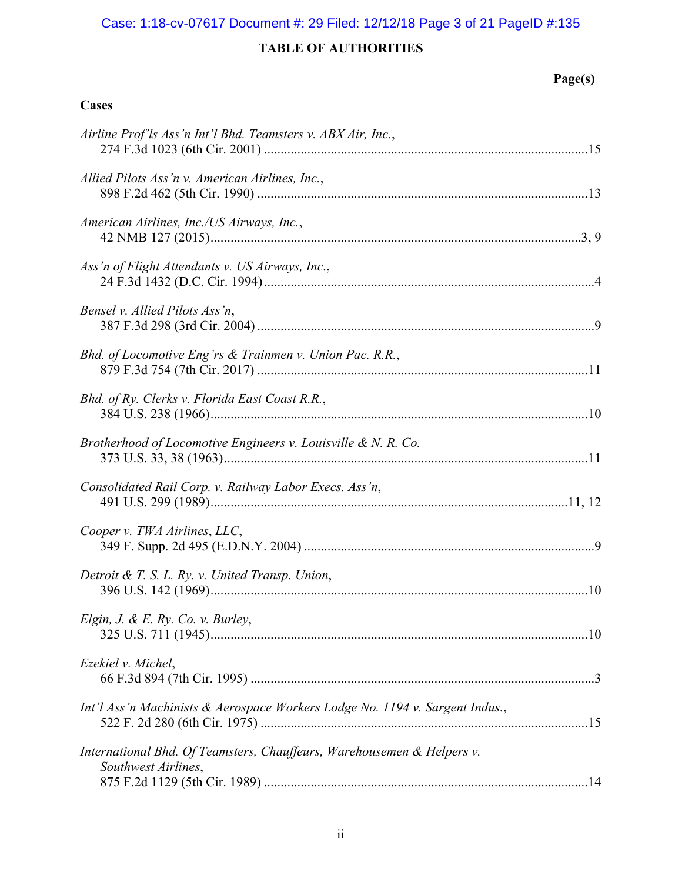## Case: 1:18-cv-07617 Document #: 29 Filed: 12/12/18 Page 3 of 21 PageID #:135

# **TABLE OF AUTHORITIES**

**Cases** 

# **Page(s)**

| Airline Prof'ls Ass'n Int'l Bhd. Teamsters v. ABX Air, Inc.,                                  |
|-----------------------------------------------------------------------------------------------|
| Allied Pilots Ass'n v. American Airlines, Inc.,                                               |
| American Airlines, Inc./US Airways, Inc.,                                                     |
| Ass'n of Flight Attendants v. US Airways, Inc.,                                               |
| Bensel v. Allied Pilots Ass'n,                                                                |
| Bhd. of Locomotive Eng'rs & Trainmen v. Union Pac. R.R.,                                      |
| Bhd. of Ry. Clerks v. Florida East Coast R.R.,                                                |
| Brotherhood of Locomotive Engineers v. Louisville & N. R. Co.                                 |
| Consolidated Rail Corp. v. Railway Labor Execs. Ass'n,                                        |
| Cooper v. TWA Airlines, LLC,                                                                  |
| Detroit & T. S. L. Ry. v. United Transp. Union,                                               |
| Elgin, J. & E. Ry. Co. v. Burley,                                                             |
| Ezekiel v. Michel,                                                                            |
| Int'l Ass'n Machinists & Aerospace Workers Lodge No. 1194 v. Sargent Indus.,                  |
| International Bhd. Of Teamsters, Chauffeurs, Warehousemen & Helpers v.<br>Southwest Airlines, |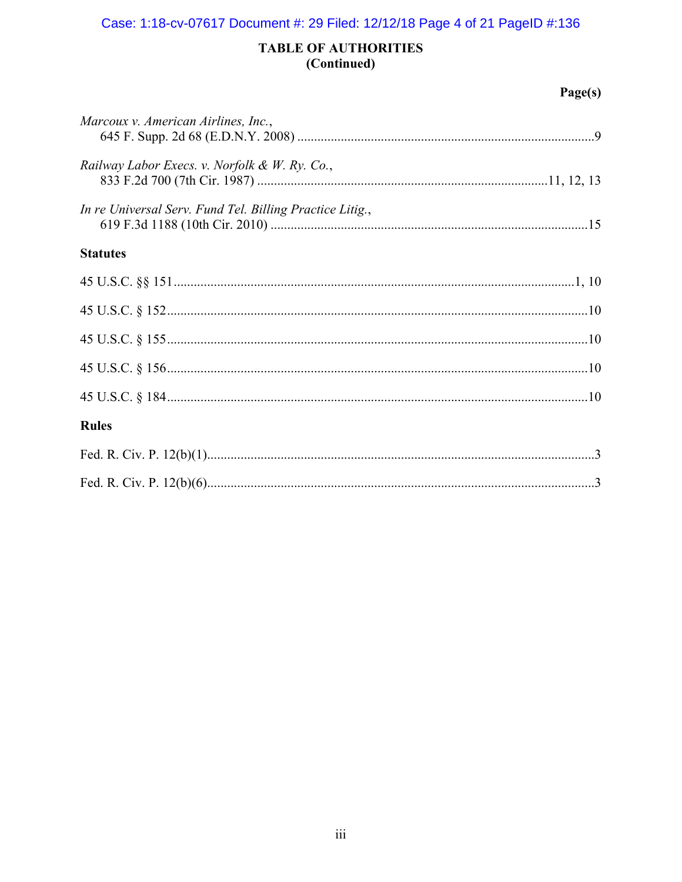## Case: 1:18-cv-07617 Document #: 29 Filed: 12/12/18 Page 4 of 21 PageID #:136

## **TABLE OF AUTHORITIES** (Continued)

## $Page(s)$

| Marcoux v. American Airlines, Inc.,                      |  |
|----------------------------------------------------------|--|
| Railway Labor Execs. v. Norfolk & W. Ry. Co.,            |  |
| In re Universal Serv. Fund Tel. Billing Practice Litig., |  |
| <b>Statutes</b>                                          |  |
|                                                          |  |
|                                                          |  |
|                                                          |  |
|                                                          |  |
|                                                          |  |
| <b>Rules</b>                                             |  |
|                                                          |  |
|                                                          |  |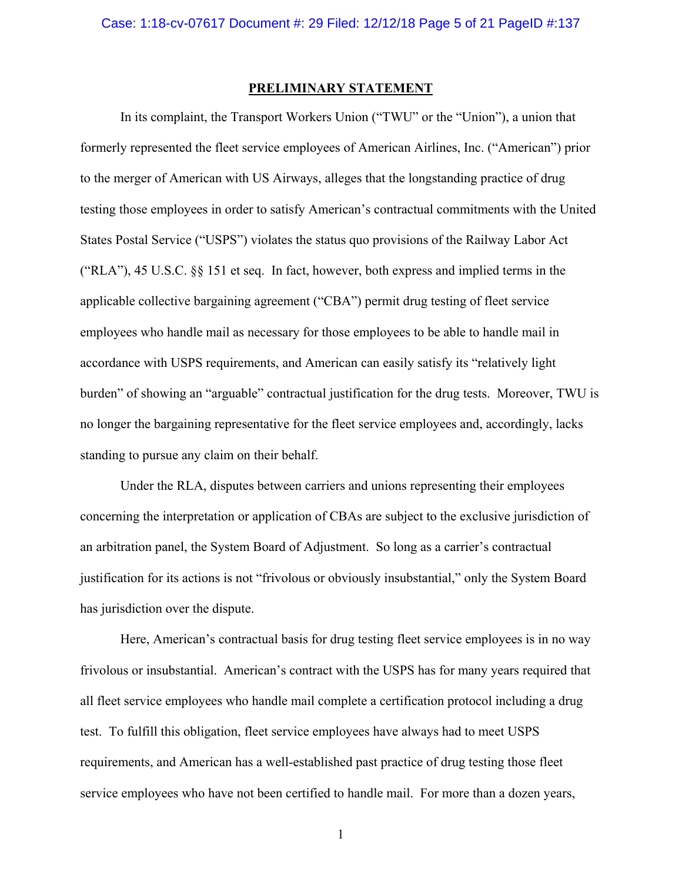#### **PRELIMINARY STATEMENT**

In its complaint, the Transport Workers Union ("TWU" or the "Union"), a union that formerly represented the fleet service employees of American Airlines, Inc. ("American") prior to the merger of American with US Airways, alleges that the longstanding practice of drug testing those employees in order to satisfy American's contractual commitments with the United States Postal Service ("USPS") violates the status quo provisions of the Railway Labor Act ("RLA"), 45 U.S.C. §§ 151 et seq. In fact, however, both express and implied terms in the applicable collective bargaining agreement ("CBA") permit drug testing of fleet service employees who handle mail as necessary for those employees to be able to handle mail in accordance with USPS requirements, and American can easily satisfy its "relatively light burden" of showing an "arguable" contractual justification for the drug tests. Moreover, TWU is no longer the bargaining representative for the fleet service employees and, accordingly, lacks standing to pursue any claim on their behalf.

Under the RLA, disputes between carriers and unions representing their employees concerning the interpretation or application of CBAs are subject to the exclusive jurisdiction of an arbitration panel, the System Board of Adjustment. So long as a carrier's contractual justification for its actions is not "frivolous or obviously insubstantial," only the System Board has jurisdiction over the dispute.

Here, American's contractual basis for drug testing fleet service employees is in no way frivolous or insubstantial. American's contract with the USPS has for many years required that all fleet service employees who handle mail complete a certification protocol including a drug test. To fulfill this obligation, fleet service employees have always had to meet USPS requirements, and American has a well-established past practice of drug testing those fleet service employees who have not been certified to handle mail. For more than a dozen years,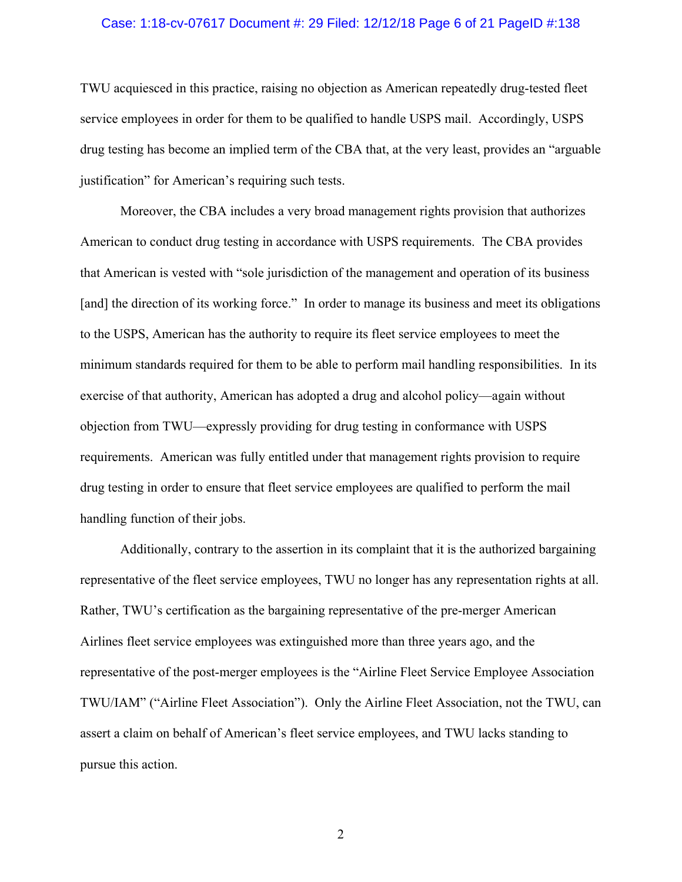#### Case: 1:18-cv-07617 Document #: 29 Filed: 12/12/18 Page 6 of 21 PageID #:138

TWU acquiesced in this practice, raising no objection as American repeatedly drug-tested fleet service employees in order for them to be qualified to handle USPS mail. Accordingly, USPS drug testing has become an implied term of the CBA that, at the very least, provides an "arguable justification" for American's requiring such tests.

Moreover, the CBA includes a very broad management rights provision that authorizes American to conduct drug testing in accordance with USPS requirements. The CBA provides that American is vested with "sole jurisdiction of the management and operation of its business [and] the direction of its working force." In order to manage its business and meet its obligations to the USPS, American has the authority to require its fleet service employees to meet the minimum standards required for them to be able to perform mail handling responsibilities. In its exercise of that authority, American has adopted a drug and alcohol policy—again without objection from TWU—expressly providing for drug testing in conformance with USPS requirements. American was fully entitled under that management rights provision to require drug testing in order to ensure that fleet service employees are qualified to perform the mail handling function of their jobs.

Additionally, contrary to the assertion in its complaint that it is the authorized bargaining representative of the fleet service employees, TWU no longer has any representation rights at all. Rather, TWU's certification as the bargaining representative of the pre-merger American Airlines fleet service employees was extinguished more than three years ago, and the representative of the post-merger employees is the "Airline Fleet Service Employee Association TWU/IAM" ("Airline Fleet Association"). Only the Airline Fleet Association, not the TWU, can assert a claim on behalf of American's fleet service employees, and TWU lacks standing to pursue this action.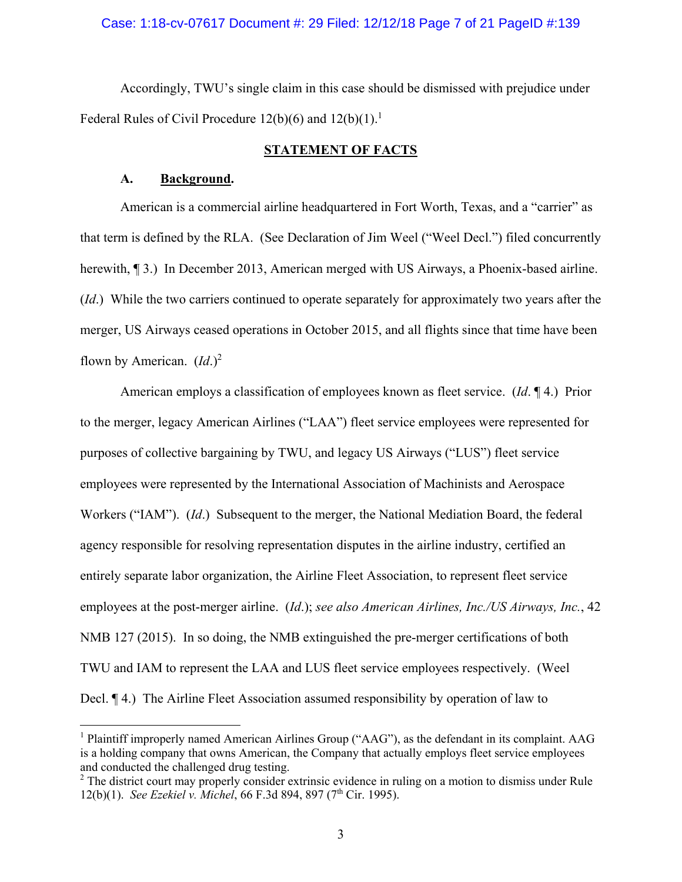## Case: 1:18-cv-07617 Document #: 29 Filed: 12/12/18 Page 7 of 21 PageID #:139

Accordingly, TWU's single claim in this case should be dismissed with prejudice under Federal Rules of Civil Procedure 12(b)(6) and  $12(b)(1)$ .<sup>1</sup>

## **STATEMENT OF FACTS**

### **A. Background.**

1

American is a commercial airline headquartered in Fort Worth, Texas, and a "carrier" as that term is defined by the RLA. (See Declaration of Jim Weel ("Weel Decl.") filed concurrently herewith, ¶ 3.) In December 2013, American merged with US Airways, a Phoenix-based airline. (*Id*.) While the two carriers continued to operate separately for approximately two years after the merger, US Airways ceased operations in October 2015, and all flights since that time have been flown by American. (*Id*.)<sup>2</sup>

American employs a classification of employees known as fleet service. (*Id*. ¶ 4.) Prior to the merger, legacy American Airlines ("LAA") fleet service employees were represented for purposes of collective bargaining by TWU, and legacy US Airways ("LUS") fleet service employees were represented by the International Association of Machinists and Aerospace Workers ("IAM"). (*Id*.) Subsequent to the merger, the National Mediation Board, the federal agency responsible for resolving representation disputes in the airline industry, certified an entirely separate labor organization, the Airline Fleet Association, to represent fleet service employees at the post-merger airline. (*Id*.); *see also American Airlines, Inc./US Airways, Inc.*, 42 NMB 127 (2015). In so doing, the NMB extinguished the pre-merger certifications of both TWU and IAM to represent the LAA and LUS fleet service employees respectively. (Weel Decl. ¶ 4.) The Airline Fleet Association assumed responsibility by operation of law to

<sup>&</sup>lt;sup>1</sup> Plaintiff improperly named American Airlines Group ("AAG"), as the defendant in its complaint. AAG is a holding company that owns American, the Company that actually employs fleet service employees and conducted the challenged drug testing.

 $2$  The district court may properly consider extrinsic evidence in ruling on a motion to dismiss under Rule 12(b)(1). *See Ezekiel v. Michel*, 66 F.3d 894, 897 (7<sup>th</sup> Cir. 1995).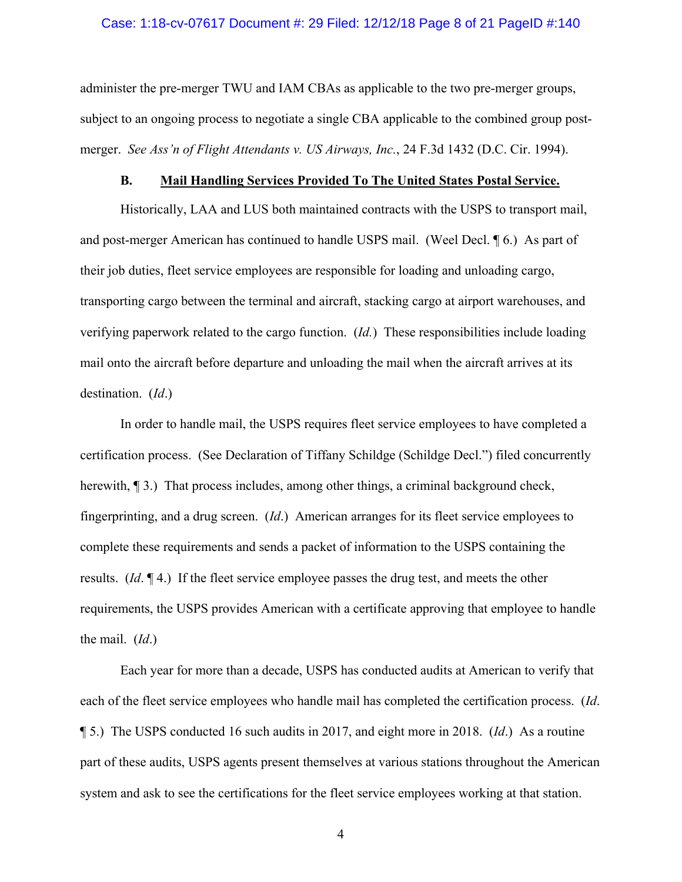#### Case: 1:18-cv-07617 Document #: 29 Filed: 12/12/18 Page 8 of 21 PageID #:140

administer the pre-merger TWU and IAM CBAs as applicable to the two pre-merger groups, subject to an ongoing process to negotiate a single CBA applicable to the combined group postmerger. *See Ass'n of Flight Attendants v. US Airways, Inc.*, 24 F.3d 1432 (D.C. Cir. 1994).

## **B. Mail Handling Services Provided To The United States Postal Service.**

Historically, LAA and LUS both maintained contracts with the USPS to transport mail, and post-merger American has continued to handle USPS mail. (Weel Decl. ¶ 6.) As part of their job duties, fleet service employees are responsible for loading and unloading cargo, transporting cargo between the terminal and aircraft, stacking cargo at airport warehouses, and verifying paperwork related to the cargo function. (*Id.*) These responsibilities include loading mail onto the aircraft before departure and unloading the mail when the aircraft arrives at its destination. (*Id*.)

In order to handle mail, the USPS requires fleet service employees to have completed a certification process. (See Declaration of Tiffany Schildge (Schildge Decl.") filed concurrently herewith,  $\P$  3.) That process includes, among other things, a criminal background check, fingerprinting, and a drug screen. (*Id*.) American arranges for its fleet service employees to complete these requirements and sends a packet of information to the USPS containing the results. (*Id*. ¶ 4.) If the fleet service employee passes the drug test, and meets the other requirements, the USPS provides American with a certificate approving that employee to handle the mail. (*Id*.)

Each year for more than a decade, USPS has conducted audits at American to verify that each of the fleet service employees who handle mail has completed the certification process. (*Id*. ¶ 5.) The USPS conducted 16 such audits in 2017, and eight more in 2018. (*Id*.) As a routine part of these audits, USPS agents present themselves at various stations throughout the American system and ask to see the certifications for the fleet service employees working at that station.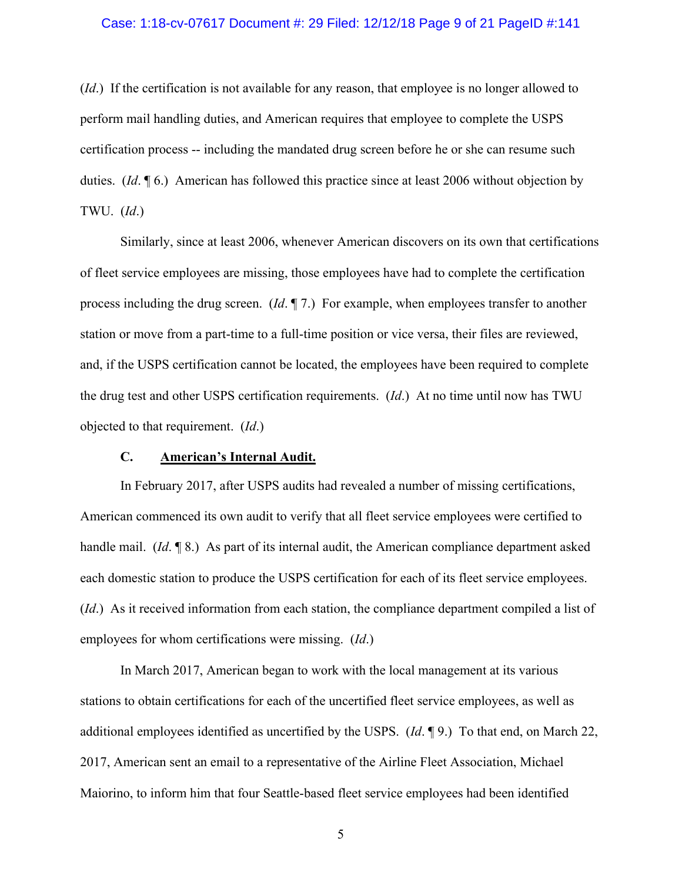#### Case: 1:18-cv-07617 Document #: 29 Filed: 12/12/18 Page 9 of 21 PageID #:141

(*Id*.) If the certification is not available for any reason, that employee is no longer allowed to perform mail handling duties, and American requires that employee to complete the USPS certification process -- including the mandated drug screen before he or she can resume such duties. (*Id*. ¶ 6.) American has followed this practice since at least 2006 without objection by TWU. (*Id*.)

Similarly, since at least 2006, whenever American discovers on its own that certifications of fleet service employees are missing, those employees have had to complete the certification process including the drug screen. (*Id*. ¶ 7.) For example, when employees transfer to another station or move from a part-time to a full-time position or vice versa, their files are reviewed, and, if the USPS certification cannot be located, the employees have been required to complete the drug test and other USPS certification requirements. (*Id*.) At no time until now has TWU objected to that requirement. (*Id*.)

## **C. American's Internal Audit.**

In February 2017, after USPS audits had revealed a number of missing certifications, American commenced its own audit to verify that all fleet service employees were certified to handle mail. (*Id*. ¶ 8.) As part of its internal audit, the American compliance department asked each domestic station to produce the USPS certification for each of its fleet service employees. (*Id*.) As it received information from each station, the compliance department compiled a list of employees for whom certifications were missing. (*Id*.)

In March 2017, American began to work with the local management at its various stations to obtain certifications for each of the uncertified fleet service employees, as well as additional employees identified as uncertified by the USPS. (*Id*. ¶ 9.) To that end, on March 22, 2017, American sent an email to a representative of the Airline Fleet Association, Michael Maiorino, to inform him that four Seattle-based fleet service employees had been identified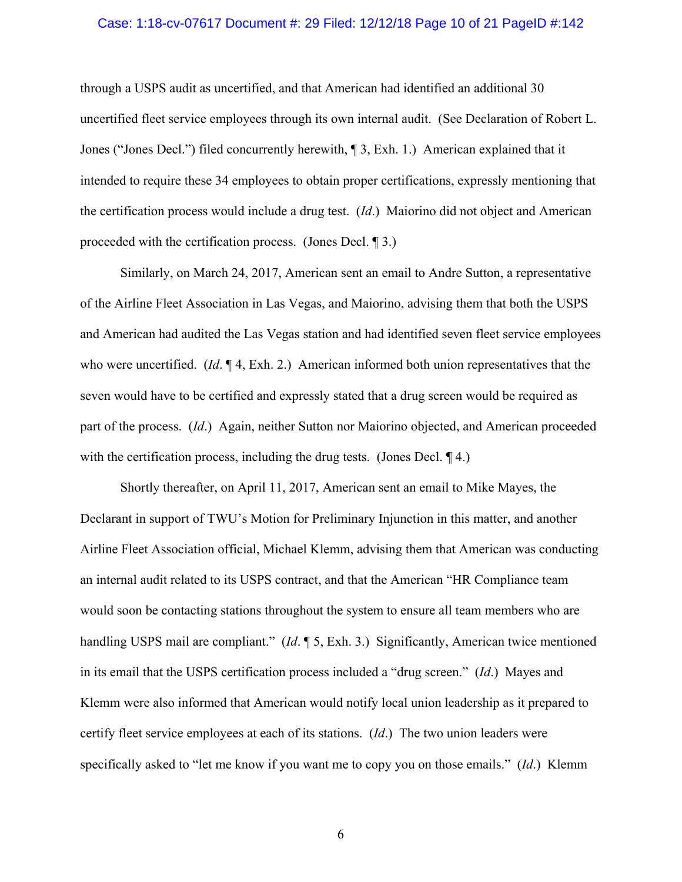#### Case: 1:18-cv-07617 Document #: 29 Filed: 12/12/18 Page 10 of 21 PageID #:142

through a USPS audit as uncertified, and that American had identified an additional 30 uncertified fleet service employees through its own internal audit. (See Declaration of Robert L. Jones ("Jones Decl.") filed concurrently herewith, ¶ 3, Exh. 1.) American explained that it intended to require these 34 employees to obtain proper certifications, expressly mentioning that the certification process would include a drug test. (*Id*.) Maiorino did not object and American proceeded with the certification process. (Jones Decl. ¶ 3.)

Similarly, on March 24, 2017, American sent an email to Andre Sutton, a representative of the Airline Fleet Association in Las Vegas, and Maiorino, advising them that both the USPS and American had audited the Las Vegas station and had identified seven fleet service employees who were uncertified. (*Id*. ¶ 4, Exh. 2.) American informed both union representatives that the seven would have to be certified and expressly stated that a drug screen would be required as part of the process. (*Id*.) Again, neither Sutton nor Maiorino objected, and American proceeded with the certification process, including the drug tests. (Jones Decl. 14.)

Shortly thereafter, on April 11, 2017, American sent an email to Mike Mayes, the Declarant in support of TWU's Motion for Preliminary Injunction in this matter, and another Airline Fleet Association official, Michael Klemm, advising them that American was conducting an internal audit related to its USPS contract, and that the American "HR Compliance team would soon be contacting stations throughout the system to ensure all team members who are handling USPS mail are compliant." (*Id*. ¶ 5, Exh. 3.) Significantly, American twice mentioned in its email that the USPS certification process included a "drug screen." (*Id*.) Mayes and Klemm were also informed that American would notify local union leadership as it prepared to certify fleet service employees at each of its stations. (*Id*.) The two union leaders were specifically asked to "let me know if you want me to copy you on those emails." (*Id*.) Klemm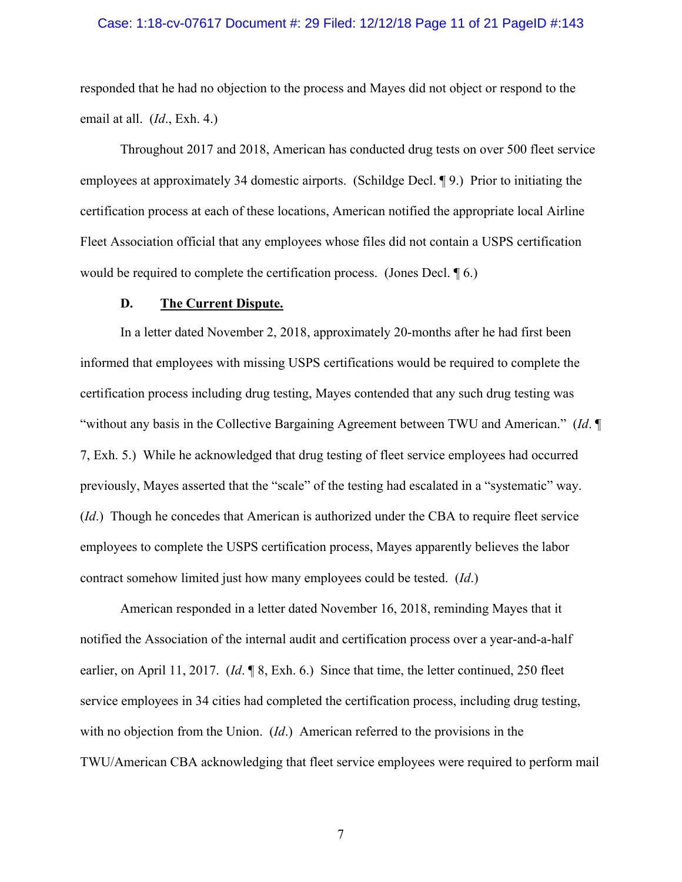#### Case: 1:18-cv-07617 Document #: 29 Filed: 12/12/18 Page 11 of 21 PageID #:143

responded that he had no objection to the process and Mayes did not object or respond to the email at all. (*Id*., Exh. 4.)

Throughout 2017 and 2018, American has conducted drug tests on over 500 fleet service employees at approximately 34 domestic airports. (Schildge Decl. ¶ 9.) Prior to initiating the certification process at each of these locations, American notified the appropriate local Airline Fleet Association official that any employees whose files did not contain a USPS certification would be required to complete the certification process. (Jones Decl. ¶ 6.)

#### **D. The Current Dispute.**

In a letter dated November 2, 2018, approximately 20-months after he had first been informed that employees with missing USPS certifications would be required to complete the certification process including drug testing, Mayes contended that any such drug testing was "without any basis in the Collective Bargaining Agreement between TWU and American." (*Id*. ¶ 7, Exh. 5.) While he acknowledged that drug testing of fleet service employees had occurred previously, Mayes asserted that the "scale" of the testing had escalated in a "systematic" way. (*Id*.) Though he concedes that American is authorized under the CBA to require fleet service employees to complete the USPS certification process, Mayes apparently believes the labor contract somehow limited just how many employees could be tested. (*Id*.)

American responded in a letter dated November 16, 2018, reminding Mayes that it notified the Association of the internal audit and certification process over a year-and-a-half earlier, on April 11, 2017. (*Id*. ¶ 8, Exh. 6.) Since that time, the letter continued, 250 fleet service employees in 34 cities had completed the certification process, including drug testing, with no objection from the Union. (*Id*.) American referred to the provisions in the TWU/American CBA acknowledging that fleet service employees were required to perform mail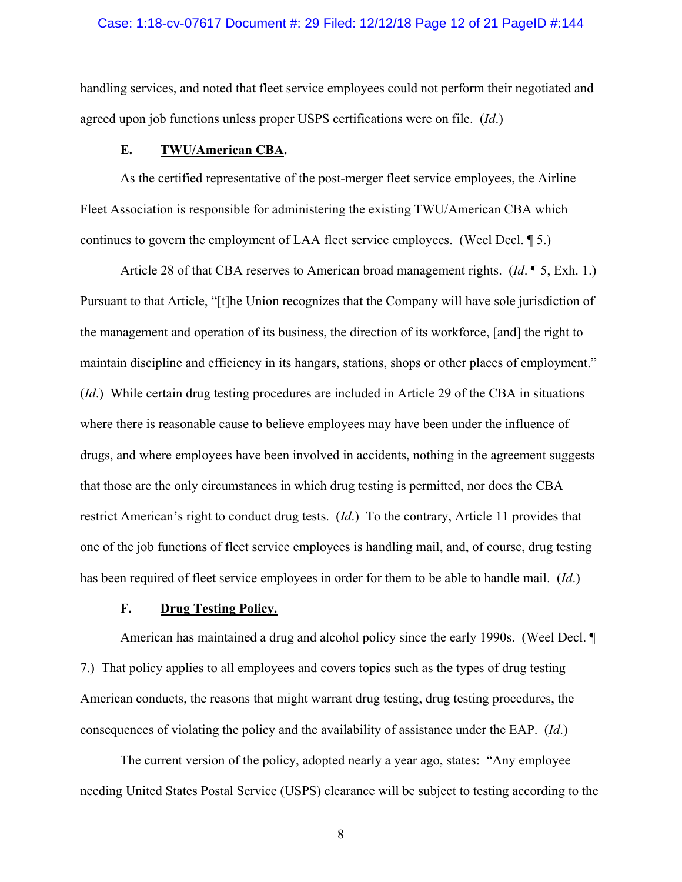#### Case: 1:18-cv-07617 Document #: 29 Filed: 12/12/18 Page 12 of 21 PageID #:144

handling services, and noted that fleet service employees could not perform their negotiated and agreed upon job functions unless proper USPS certifications were on file. (*Id*.)

## **E. TWU/American CBA.**

As the certified representative of the post-merger fleet service employees, the Airline Fleet Association is responsible for administering the existing TWU/American CBA which continues to govern the employment of LAA fleet service employees. (Weel Decl. ¶ 5.)

Article 28 of that CBA reserves to American broad management rights. (*Id*. ¶ 5, Exh. 1.) Pursuant to that Article, "[t]he Union recognizes that the Company will have sole jurisdiction of the management and operation of its business, the direction of its workforce, [and] the right to maintain discipline and efficiency in its hangars, stations, shops or other places of employment." (*Id*.) While certain drug testing procedures are included in Article 29 of the CBA in situations where there is reasonable cause to believe employees may have been under the influence of drugs, and where employees have been involved in accidents, nothing in the agreement suggests that those are the only circumstances in which drug testing is permitted, nor does the CBA restrict American's right to conduct drug tests. (*Id*.) To the contrary, Article 11 provides that one of the job functions of fleet service employees is handling mail, and, of course, drug testing has been required of fleet service employees in order for them to be able to handle mail. (*Id*.)

## **F. Drug Testing Policy.**

American has maintained a drug and alcohol policy since the early 1990s. (Weel Decl. ¶ 7.) That policy applies to all employees and covers topics such as the types of drug testing American conducts, the reasons that might warrant drug testing, drug testing procedures, the consequences of violating the policy and the availability of assistance under the EAP. (*Id*.)

The current version of the policy, adopted nearly a year ago, states: "Any employee needing United States Postal Service (USPS) clearance will be subject to testing according to the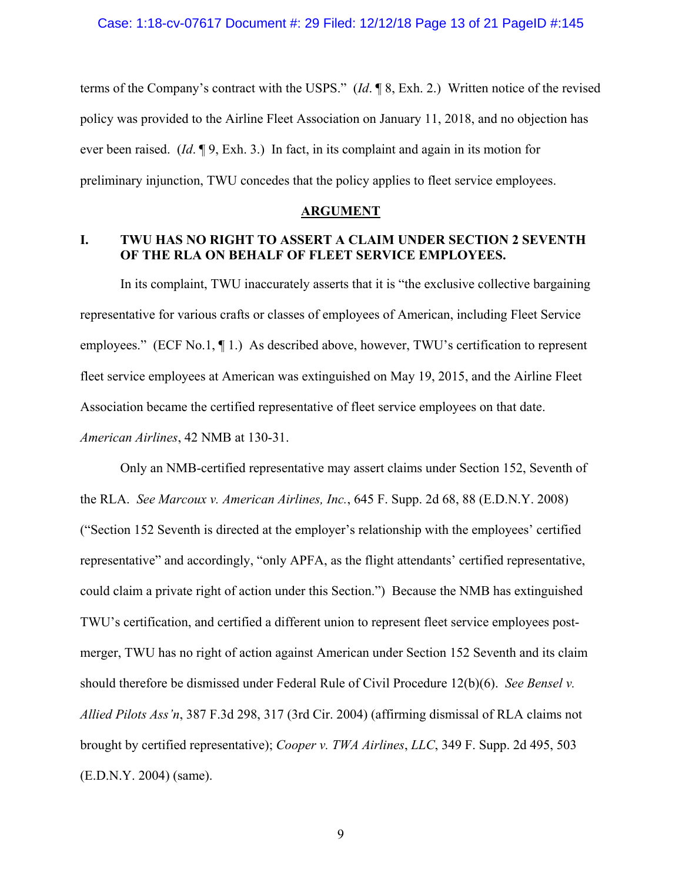terms of the Company's contract with the USPS." (*Id*. ¶ 8, Exh. 2.) Written notice of the revised policy was provided to the Airline Fleet Association on January 11, 2018, and no objection has ever been raised. (*Id*. ¶ 9, Exh. 3.) In fact, in its complaint and again in its motion for preliminary injunction, TWU concedes that the policy applies to fleet service employees.

### **ARGUMENT**

## **I. TWU HAS NO RIGHT TO ASSERT A CLAIM UNDER SECTION 2 SEVENTH OF THE RLA ON BEHALF OF FLEET SERVICE EMPLOYEES.**

In its complaint, TWU inaccurately asserts that it is "the exclusive collective bargaining representative for various crafts or classes of employees of American, including Fleet Service employees." (ECF No.1, ¶ 1.) As described above, however, TWU's certification to represent fleet service employees at American was extinguished on May 19, 2015, and the Airline Fleet Association became the certified representative of fleet service employees on that date. *American Airlines*, 42 NMB at 130-31.

Only an NMB-certified representative may assert claims under Section 152, Seventh of the RLA. *See Marcoux v. American Airlines, Inc.*, 645 F. Supp. 2d 68, 88 (E.D.N.Y. 2008) ("Section 152 Seventh is directed at the employer's relationship with the employees' certified representative" and accordingly, "only APFA, as the flight attendants' certified representative, could claim a private right of action under this Section.") Because the NMB has extinguished TWU's certification, and certified a different union to represent fleet service employees postmerger, TWU has no right of action against American under Section 152 Seventh and its claim should therefore be dismissed under Federal Rule of Civil Procedure 12(b)(6). *See Bensel v. Allied Pilots Ass'n*, 387 F.3d 298, 317 (3rd Cir. 2004) (affirming dismissal of RLA claims not brought by certified representative); *Cooper v. TWA Airlines*, *LLC*, 349 F. Supp. 2d 495, 503 (E.D.N.Y. 2004) (same).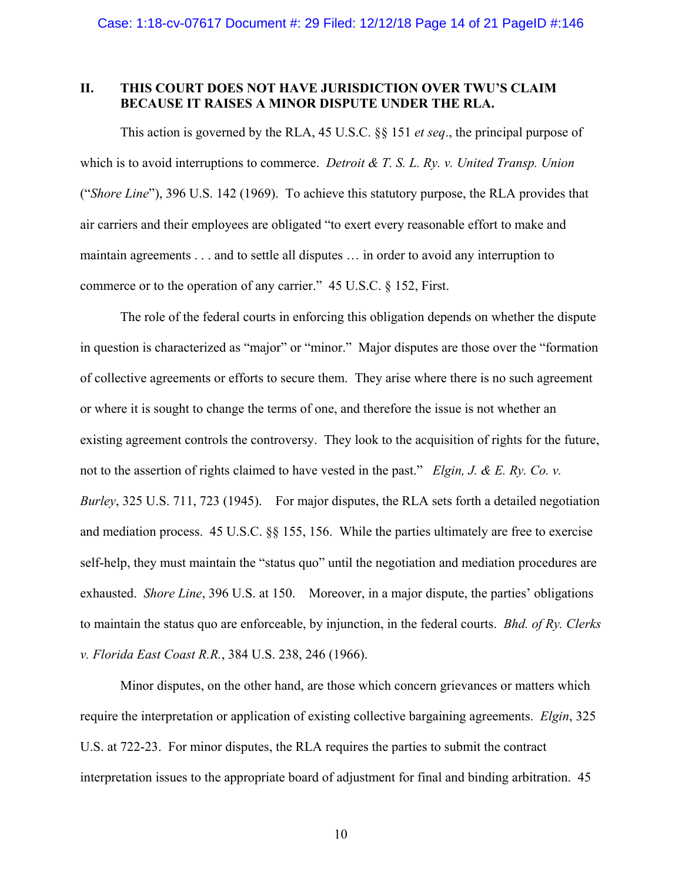## **II. THIS COURT DOES NOT HAVE JURISDICTION OVER TWU'S CLAIM BECAUSE IT RAISES A MINOR DISPUTE UNDER THE RLA.**

This action is governed by the RLA, 45 U.S.C. §§ 151 *et seq*., the principal purpose of which is to avoid interruptions to commerce. *Detroit & T. S. L. Ry. v. United Transp. Union*  ("*Shore Line*"), 396 U.S. 142 (1969). To achieve this statutory purpose, the RLA provides that air carriers and their employees are obligated "to exert every reasonable effort to make and maintain agreements . . . and to settle all disputes … in order to avoid any interruption to commerce or to the operation of any carrier." 45 U.S.C. § 152, First.

The role of the federal courts in enforcing this obligation depends on whether the dispute in question is characterized as "major" or "minor." Major disputes are those over the "formation of collective agreements or efforts to secure them. They arise where there is no such agreement or where it is sought to change the terms of one, and therefore the issue is not whether an existing agreement controls the controversy. They look to the acquisition of rights for the future, not to the assertion of rights claimed to have vested in the past." *Elgin, J. & E. Ry. Co. v. Burley*, 325 U.S. 711, 723 (1945). For major disputes, the RLA sets forth a detailed negotiation and mediation process. 45 U.S.C. §§ 155, 156. While the parties ultimately are free to exercise self-help, they must maintain the "status quo" until the negotiation and mediation procedures are exhausted. *Shore Line*, 396 U.S. at 150. Moreover, in a major dispute, the parties' obligations to maintain the status quo are enforceable, by injunction, in the federal courts. *Bhd. of Ry. Clerks v. Florida East Coast R.R.*, 384 U.S. 238, 246 (1966).

Minor disputes, on the other hand, are those which concern grievances or matters which require the interpretation or application of existing collective bargaining agreements. *Elgin*, 325 U.S. at 722-23. For minor disputes, the RLA requires the parties to submit the contract interpretation issues to the appropriate board of adjustment for final and binding arbitration. 45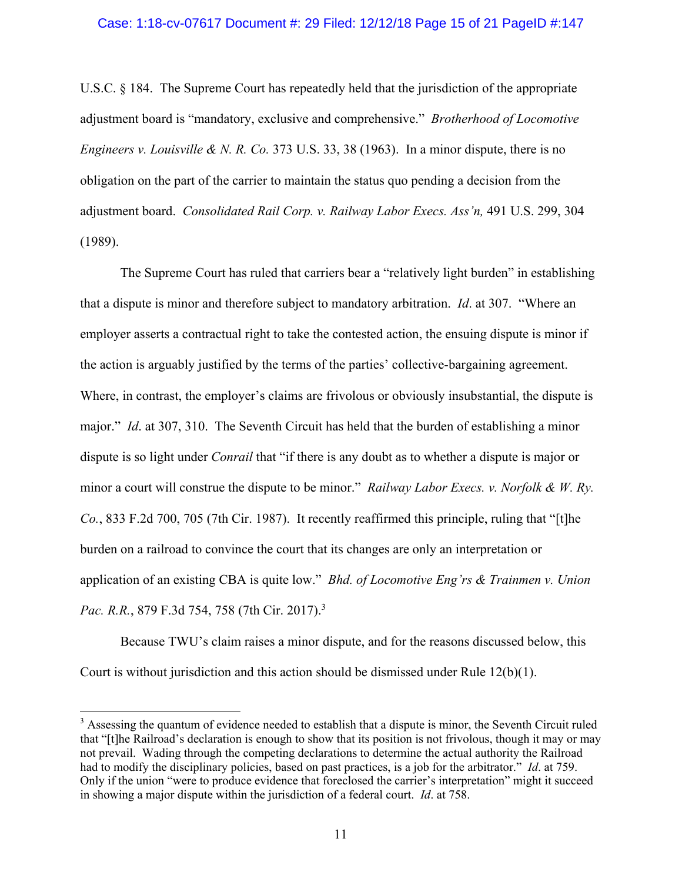#### Case: 1:18-cv-07617 Document #: 29 Filed: 12/12/18 Page 15 of 21 PageID #:147

U.S.C. § 184. The Supreme Court has repeatedly held that the jurisdiction of the appropriate adjustment board is "mandatory, exclusive and comprehensive." *Brotherhood of Locomotive Engineers v. Louisville & N. R. Co.* 373 U.S. 33, 38 (1963). In a minor dispute, there is no obligation on the part of the carrier to maintain the status quo pending a decision from the adjustment board. *Consolidated Rail Corp. v. Railway Labor Execs. Ass'n,* 491 U.S. 299, 304 (1989).

The Supreme Court has ruled that carriers bear a "relatively light burden" in establishing that a dispute is minor and therefore subject to mandatory arbitration. *Id*. at 307. "Where an employer asserts a contractual right to take the contested action, the ensuing dispute is minor if the action is arguably justified by the terms of the parties' collective-bargaining agreement. Where, in contrast, the employer's claims are frivolous or obviously insubstantial, the dispute is major." *Id*. at 307, 310. The Seventh Circuit has held that the burden of establishing a minor dispute is so light under *Conrail* that "if there is any doubt as to whether a dispute is major or minor a court will construe the dispute to be minor." *Railway Labor Execs. v. Norfolk & W. Ry. Co.*, 833 F.2d 700, 705 (7th Cir. 1987). It recently reaffirmed this principle, ruling that "[t]he burden on a railroad to convince the court that its changes are only an interpretation or application of an existing CBA is quite low." *Bhd. of Locomotive Eng'rs & Trainmen v. Union Pac. R.R.*, 879 F.3d 754, 758 (7th Cir. 2017).3

Because TWU's claim raises a minor dispute, and for the reasons discussed below, this Court is without jurisdiction and this action should be dismissed under Rule  $12(b)(1)$ .

 $3$  Assessing the quantum of evidence needed to establish that a dispute is minor, the Seventh Circuit ruled that "[t]he Railroad's declaration is enough to show that its position is not frivolous, though it may or may not prevail. Wading through the competing declarations to determine the actual authority the Railroad had to modify the disciplinary policies, based on past practices, is a job for the arbitrator." *Id*. at 759. Only if the union "were to produce evidence that foreclosed the carrier's interpretation" might it succeed in showing a major dispute within the jurisdiction of a federal court. *Id*. at 758.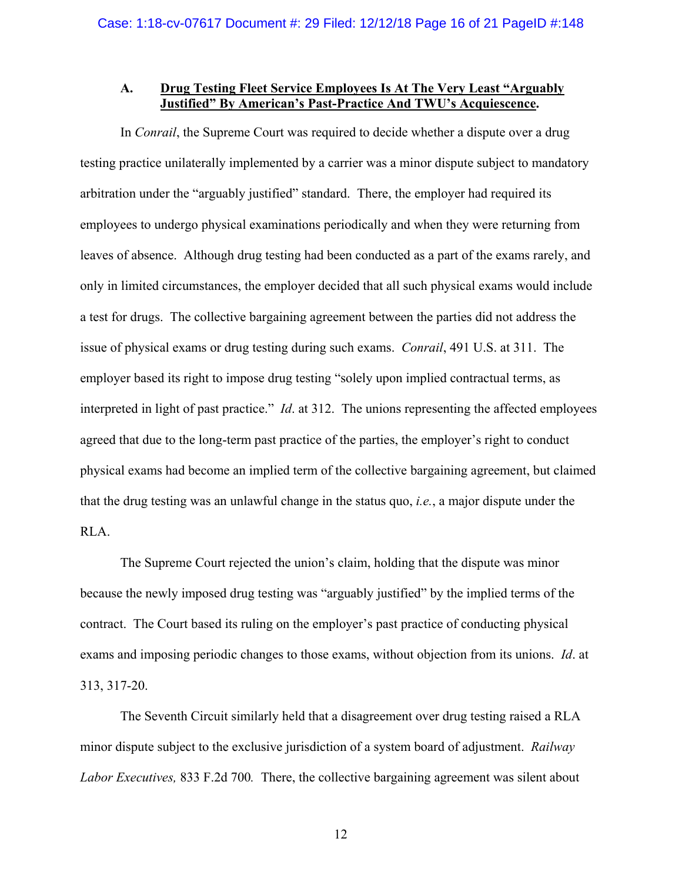## **A. Drug Testing Fleet Service Employees Is At The Very Least "Arguably Justified" By American's Past-Practice And TWU's Acquiescence.**

In *Conrail*, the Supreme Court was required to decide whether a dispute over a drug testing practice unilaterally implemented by a carrier was a minor dispute subject to mandatory arbitration under the "arguably justified" standard. There, the employer had required its employees to undergo physical examinations periodically and when they were returning from leaves of absence. Although drug testing had been conducted as a part of the exams rarely, and only in limited circumstances, the employer decided that all such physical exams would include a test for drugs. The collective bargaining agreement between the parties did not address the issue of physical exams or drug testing during such exams. *Conrail*, 491 U.S. at 311. The employer based its right to impose drug testing "solely upon implied contractual terms, as interpreted in light of past practice." *Id*. at 312. The unions representing the affected employees agreed that due to the long-term past practice of the parties, the employer's right to conduct physical exams had become an implied term of the collective bargaining agreement, but claimed that the drug testing was an unlawful change in the status quo, *i.e.*, a major dispute under the RLA.

The Supreme Court rejected the union's claim, holding that the dispute was minor because the newly imposed drug testing was "arguably justified" by the implied terms of the contract. The Court based its ruling on the employer's past practice of conducting physical exams and imposing periodic changes to those exams, without objection from its unions. *Id*. at 313, 317-20.

The Seventh Circuit similarly held that a disagreement over drug testing raised a RLA minor dispute subject to the exclusive jurisdiction of a system board of adjustment. *Railway Labor Executives,* 833 F.2d 700*.* There, the collective bargaining agreement was silent about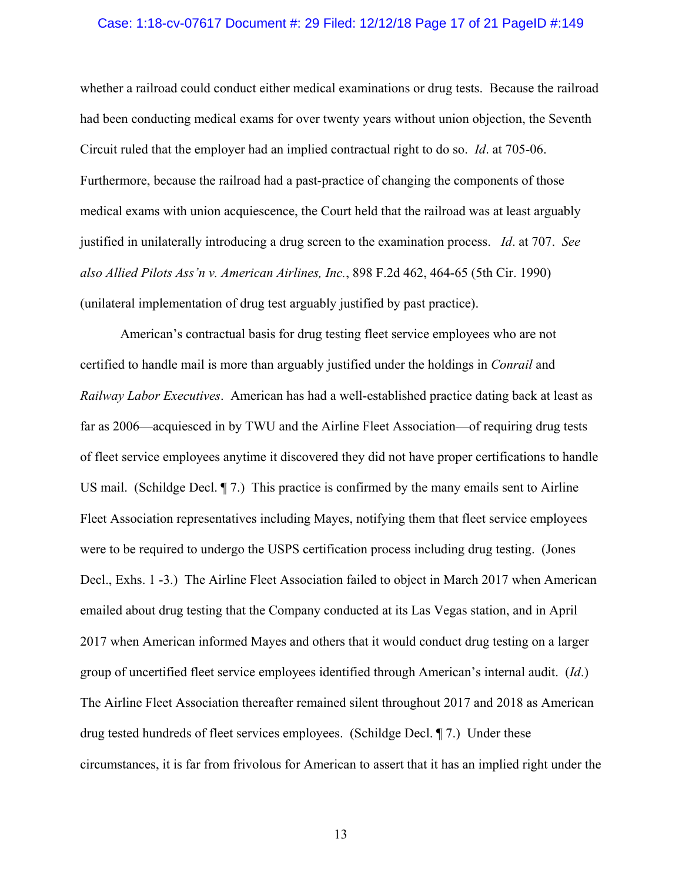#### Case: 1:18-cv-07617 Document #: 29 Filed: 12/12/18 Page 17 of 21 PageID #:149

whether a railroad could conduct either medical examinations or drug tests. Because the railroad had been conducting medical exams for over twenty years without union objection, the Seventh Circuit ruled that the employer had an implied contractual right to do so. *Id*. at 705-06. Furthermore, because the railroad had a past-practice of changing the components of those medical exams with union acquiescence, the Court held that the railroad was at least arguably justified in unilaterally introducing a drug screen to the examination process. *Id*. at 707. *See also Allied Pilots Ass'n v. American Airlines, Inc.*, 898 F.2d 462, 464-65 (5th Cir. 1990) (unilateral implementation of drug test arguably justified by past practice).

American's contractual basis for drug testing fleet service employees who are not certified to handle mail is more than arguably justified under the holdings in *Conrail* and *Railway Labor Executives*. American has had a well-established practice dating back at least as far as 2006—acquiesced in by TWU and the Airline Fleet Association—of requiring drug tests of fleet service employees anytime it discovered they did not have proper certifications to handle US mail. (Schildge Decl. ¶ 7.) This practice is confirmed by the many emails sent to Airline Fleet Association representatives including Mayes, notifying them that fleet service employees were to be required to undergo the USPS certification process including drug testing. (Jones Decl., Exhs. 1 -3.) The Airline Fleet Association failed to object in March 2017 when American emailed about drug testing that the Company conducted at its Las Vegas station, and in April 2017 when American informed Mayes and others that it would conduct drug testing on a larger group of uncertified fleet service employees identified through American's internal audit. (*Id*.) The Airline Fleet Association thereafter remained silent throughout 2017 and 2018 as American drug tested hundreds of fleet services employees. (Schildge Decl. ¶ 7.) Under these circumstances, it is far from frivolous for American to assert that it has an implied right under the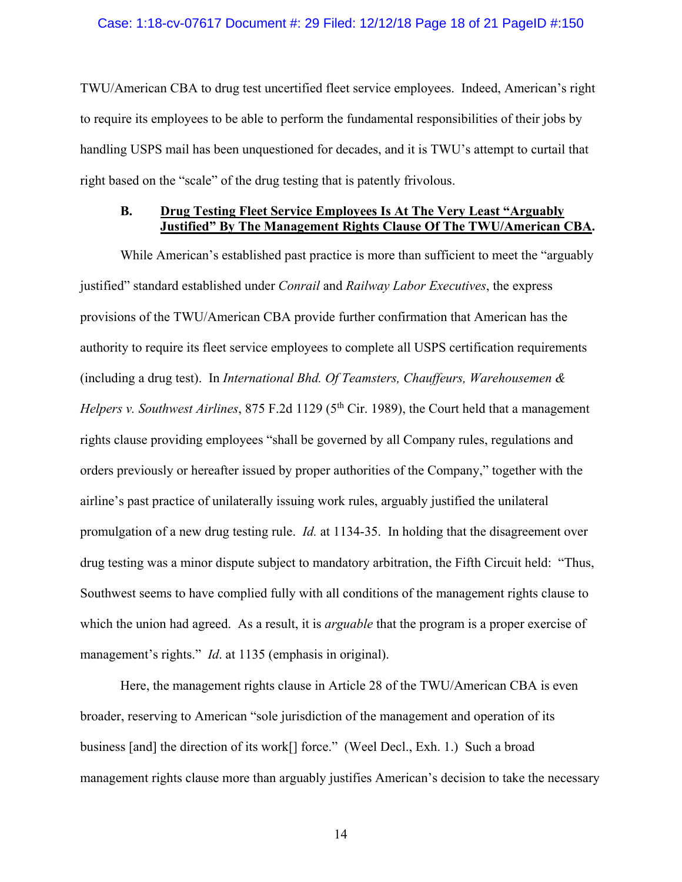#### Case: 1:18-cv-07617 Document #: 29 Filed: 12/12/18 Page 18 of 21 PageID #:150

TWU/American CBA to drug test uncertified fleet service employees. Indeed, American's right to require its employees to be able to perform the fundamental responsibilities of their jobs by handling USPS mail has been unquestioned for decades, and it is TWU's attempt to curtail that right based on the "scale" of the drug testing that is patently frivolous.

## **B. Drug Testing Fleet Service Employees Is At The Very Least "Arguably Justified" By The Management Rights Clause Of The TWU/American CBA.**

 While American's established past practice is more than sufficient to meet the "arguably justified" standard established under *Conrail* and *Railway Labor Executives*, the express provisions of the TWU/American CBA provide further confirmation that American has the authority to require its fleet service employees to complete all USPS certification requirements (including a drug test). In *International Bhd. Of Teamsters, Chauffeurs, Warehousemen & Helpers v. Southwest Airlines, 875 F.2d 1129 (5<sup>th</sup> Cir. 1989), the Court held that a management* rights clause providing employees "shall be governed by all Company rules, regulations and orders previously or hereafter issued by proper authorities of the Company," together with the airline's past practice of unilaterally issuing work rules, arguably justified the unilateral promulgation of a new drug testing rule. *Id.* at 1134-35. In holding that the disagreement over drug testing was a minor dispute subject to mandatory arbitration, the Fifth Circuit held: "Thus, Southwest seems to have complied fully with all conditions of the management rights clause to which the union had agreed. As a result, it is *arguable* that the program is a proper exercise of management's rights." *Id*. at 1135 (emphasis in original).

Here, the management rights clause in Article 28 of the TWU/American CBA is even broader, reserving to American "sole jurisdiction of the management and operation of its business [and] the direction of its work[] force." (Weel Decl., Exh. 1.) Such a broad management rights clause more than arguably justifies American's decision to take the necessary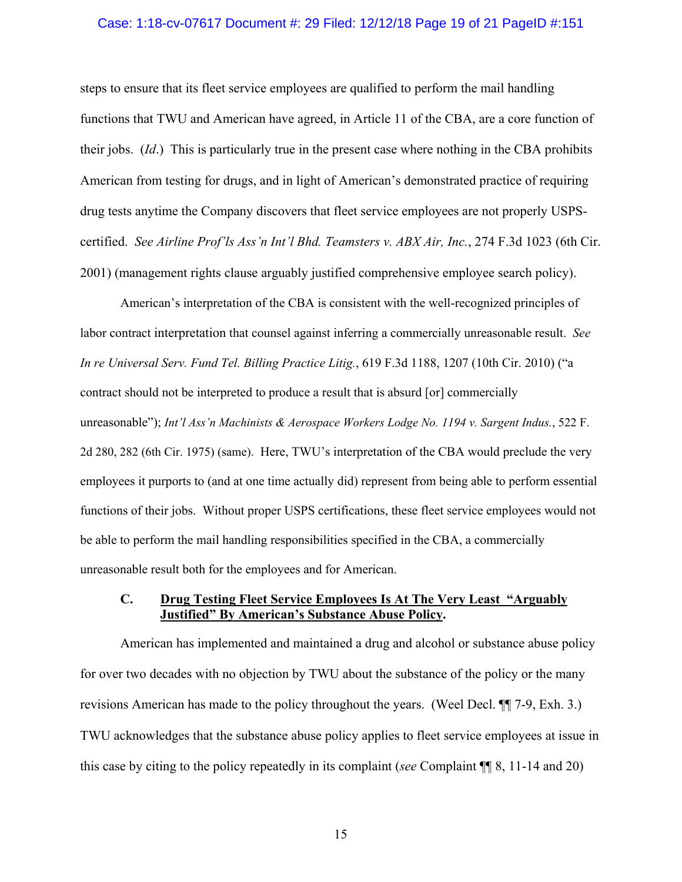#### Case: 1:18-cv-07617 Document #: 29 Filed: 12/12/18 Page 19 of 21 PageID #:151

steps to ensure that its fleet service employees are qualified to perform the mail handling functions that TWU and American have agreed, in Article 11 of the CBA, are a core function of their jobs. (*Id*.) This is particularly true in the present case where nothing in the CBA prohibits American from testing for drugs, and in light of American's demonstrated practice of requiring drug tests anytime the Company discovers that fleet service employees are not properly USPScertified. *See Airline Prof'ls Ass'n Int'l Bhd. Teamsters v. ABX Air, Inc.*, 274 F.3d 1023 (6th Cir. 2001) (management rights clause arguably justified comprehensive employee search policy).

American's interpretation of the CBA is consistent with the well-recognized principles of labor contract interpretation that counsel against inferring a commercially unreasonable result. *See In re Universal Serv. Fund Tel. Billing Practice Litig.*, 619 F.3d 1188, 1207 (10th Cir. 2010) ("a contract should not be interpreted to produce a result that is absurd [or] commercially unreasonable"); *Int'l Ass'n Machinists & Aerospace Workers Lodge No. 1194 v. Sargent Indus.*, 522 F. 2d 280, 282 (6th Cir. 1975) (same). Here, TWU's interpretation of the CBA would preclude the very employees it purports to (and at one time actually did) represent from being able to perform essential functions of their jobs. Without proper USPS certifications, these fleet service employees would not be able to perform the mail handling responsibilities specified in the CBA, a commercially unreasonable result both for the employees and for American.

## **C. Drug Testing Fleet Service Employees Is At The Very Least "Arguably Justified" By American's Substance Abuse Policy.**

American has implemented and maintained a drug and alcohol or substance abuse policy for over two decades with no objection by TWU about the substance of the policy or the many revisions American has made to the policy throughout the years. (Weel Decl. ¶¶ 7-9, Exh. 3.) TWU acknowledges that the substance abuse policy applies to fleet service employees at issue in this case by citing to the policy repeatedly in its complaint (*see* Complaint ¶¶ 8, 11-14 and 20)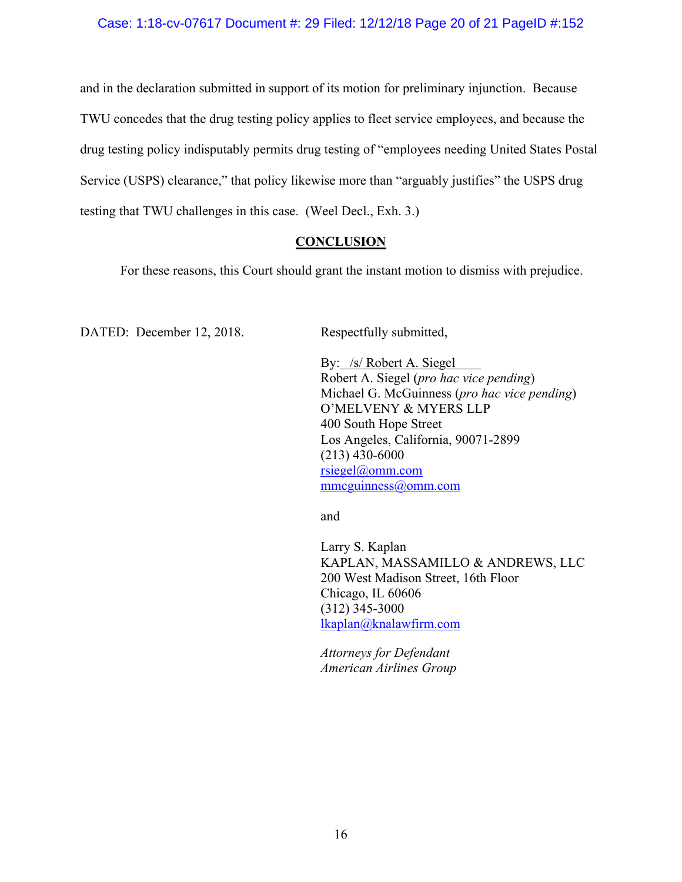## Case: 1:18-cv-07617 Document #: 29 Filed: 12/12/18 Page 20 of 21 PageID #:152

and in the declaration submitted in support of its motion for preliminary injunction. Because TWU concedes that the drug testing policy applies to fleet service employees, and because the drug testing policy indisputably permits drug testing of "employees needing United States Postal Service (USPS) clearance," that policy likewise more than "arguably justifies" the USPS drug testing that TWU challenges in this case. (Weel Decl., Exh. 3.)

### **CONCLUSION**

For these reasons, this Court should grant the instant motion to dismiss with prejudice.

DATED: December 12, 2018. Respectfully submitted,

By: /s/ Robert A. Siegel Robert A. Siegel (*pro hac vice pending*) Michael G. McGuinness (*pro hac vice pending*) O'MELVENY & MYERS LLP 400 South Hope Street Los Angeles, California, 90071-2899 (213) 430-6000 rsiegel@omm.com mmcguinness@omm.com

and

Larry S. Kaplan KAPLAN, MASSAMILLO & ANDREWS, LLC 200 West Madison Street, 16th Floor Chicago, IL 60606 (312) 345-3000 lkaplan@knalawfirm.com

*Attorneys for Defendant American Airlines Group*